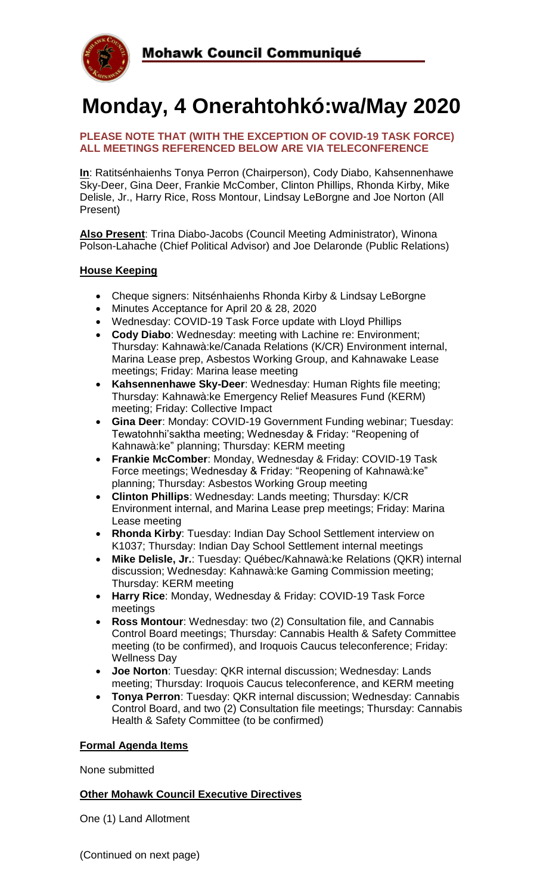

# **Monday, 4 Onerahtohkó:wa/May 2020**

### **PLEASE NOTE THAT (WITH THE EXCEPTION OF COVID-19 TASK FORCE) ALL MEETINGS REFERENCED BELOW ARE VIA TELECONFERENCE**

**In**: Ratitsénhaienhs Tonya Perron (Chairperson), Cody Diabo, Kahsennenhawe Sky-Deer, Gina Deer, Frankie McComber, Clinton Phillips, Rhonda Kirby, Mike Delisle, Jr., Harry Rice, Ross Montour, Lindsay LeBorgne and Joe Norton (All Present)

**Also Present**: Trina Diabo-Jacobs (Council Meeting Administrator), Winona Polson-Lahache (Chief Political Advisor) and Joe Delaronde (Public Relations)

### **House Keeping**

- Cheque signers: Nitsénhaienhs Rhonda Kirby & Lindsay LeBorgne
- Minutes Acceptance for April 20 & 28, 2020
- Wednesday: COVID-19 Task Force update with Lloyd Phillips
- **Cody Diabo**: Wednesday: meeting with Lachine re: Environment; Thursday: Kahnawà:ke/Canada Relations (K/CR) Environment internal, Marina Lease prep, Asbestos Working Group, and Kahnawake Lease meetings; Friday: Marina lease meeting
- **Kahsennenhawe Sky-Deer**: Wednesday: Human Rights file meeting; Thursday: Kahnawà:ke Emergency Relief Measures Fund (KERM) meeting; Friday: Collective Impact
- **Gina Deer**: Monday: COVID-19 Government Funding webinar; Tuesday: Tewatohnhi'saktha meeting; Wednesday & Friday: "Reopening of Kahnawà:ke" planning; Thursday: KERM meeting
- **Frankie McComber**: Monday, Wednesday & Friday: COVID-19 Task Force meetings; Wednesday & Friday: "Reopening of Kahnawà:ke" planning; Thursday: Asbestos Working Group meeting
- **Clinton Phillips**: Wednesday: Lands meeting; Thursday: K/CR Environment internal, and Marina Lease prep meetings; Friday: Marina Lease meeting
- **Rhonda Kirby**: Tuesday: Indian Day School Settlement interview on K1037; Thursday: Indian Day School Settlement internal meetings
- **Mike Delisle, Jr.**: Tuesday: Québec/Kahnawà:ke Relations (QKR) internal discussion; Wednesday: Kahnawà:ke Gaming Commission meeting; Thursday: KERM meeting
- **Harry Rice**: Monday, Wednesday & Friday: COVID-19 Task Force meetings
- **Ross Montour**: Wednesday: two (2) Consultation file, and Cannabis Control Board meetings; Thursday: Cannabis Health & Safety Committee meeting (to be confirmed), and Iroquois Caucus teleconference; Friday: Wellness Day
- **Joe Norton**: Tuesday: QKR internal discussion; Wednesday: Lands meeting; Thursday: Iroquois Caucus teleconference, and KERM meeting
- **Tonya Perron**: Tuesday: QKR internal discussion; Wednesday: Cannabis Control Board, and two (2) Consultation file meetings; Thursday: Cannabis Health & Safety Committee (to be confirmed)

### **Formal Agenda Items**

None submitted

### **Other Mohawk Council Executive Directives**

One (1) Land Allotment

(Continued on next page)